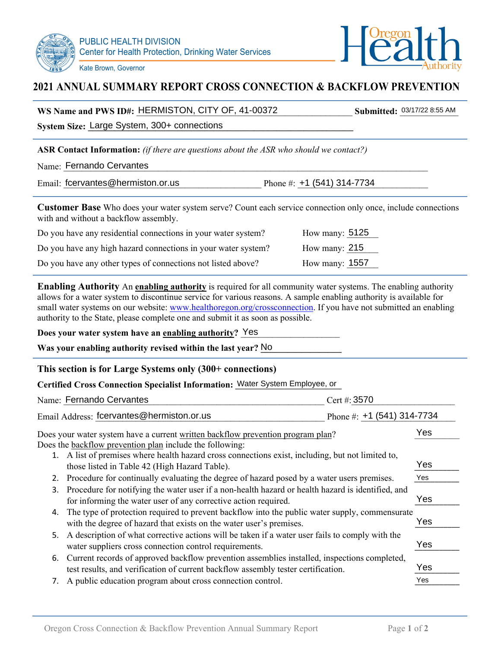



## **2021 ANNUAL SUMMARY REPORT CROSS CONNECTION & BACKFLOW PREVENTION**

| WS Name and PWS ID#: HERMISTON, CITY OF, 41-00372 |  | <b>Submitted: 03/17/22 8:55 AM</b> |
|---------------------------------------------------|--|------------------------------------|
|---------------------------------------------------|--|------------------------------------|

System Size: Large System, 300+ connections

Kate Brown, Governor

**ASR Contact Information:** *(if there are questions about the ASR who should we contact?)*

|  | Name: Fernando Cervantes |  |
|--|--------------------------|--|
|--|--------------------------|--|

Email: fcervantes@hermiston.or.us Phone #:  $+1$  (541) 314-7734

**Customer Base** Who does your water system serve? Count each service connection only once, include connections with and without a backflow assembly.

| Do you have any residential connections in your water system? | How many: $5125$ |
|---------------------------------------------------------------|------------------|
| Do you have any high hazard connections in your water system? | How many: $215$  |
| Do you have any other types of connections not listed above?  | How many: $1557$ |

**Enabling Authority** An **enabling authority** is required for all community water systems. The enabling authority allows for a water system to discontinue service for various reasons. A sample enabling authority is available for small water systems on our website: www.healthoregon.org/crossconnection. If you have not submitted an enabling authority to the State, please complete one and submit it as soon as possible.

### **Does your water system have an <u>enabling authority</u>? Yes**

Was your enabling authority revised within the last year? No

### **This section is for Large Systems only (300+ connections)**

### Certified Cross Connection Specialist Information: Water System Employee, or

|    | Name: Fernando Cervantes                                                                                                                                                          | Cert #: 3570                 |     |
|----|-----------------------------------------------------------------------------------------------------------------------------------------------------------------------------------|------------------------------|-----|
|    | Email Address: fcervantes@hermiston.or.us                                                                                                                                         | Phone #: $+1$ (541) 314-7734 |     |
|    | Does your water system have a current written backflow prevention program plan?                                                                                                   |                              | Yes |
|    | Does the <b>backflow</b> prevention plan include the following:                                                                                                                   |                              |     |
|    | 1. A list of premises where health hazard cross connections exist, including, but not limited to,<br>those listed in Table 42 (High Hazard Table).                                |                              | Yes |
| 2. | Procedure for continually evaluating the degree of hazard posed by a water users premises.                                                                                        |                              | Yes |
| 3. | Procedure for notifying the water user if a non-health hazard or health hazard is identified, and<br>for informing the water user of any corrective action required.              |                              | Yes |
| 4. | The type of protection required to prevent backflow into the public water supply, commensurate<br>with the degree of hazard that exists on the water user's premises.             |                              | Yes |
| 5. | A description of what corrective actions will be taken if a water user fails to comply with the<br>water suppliers cross connection control requirements.                         |                              | Yes |
| 6. | Current records of approved backflow prevention assemblies installed, inspections completed,<br>test results, and verification of current backflow assembly tester certification. |                              | Yes |
|    | A public education program about cross connection control.                                                                                                                        |                              | Yes |
|    |                                                                                                                                                                                   |                              |     |